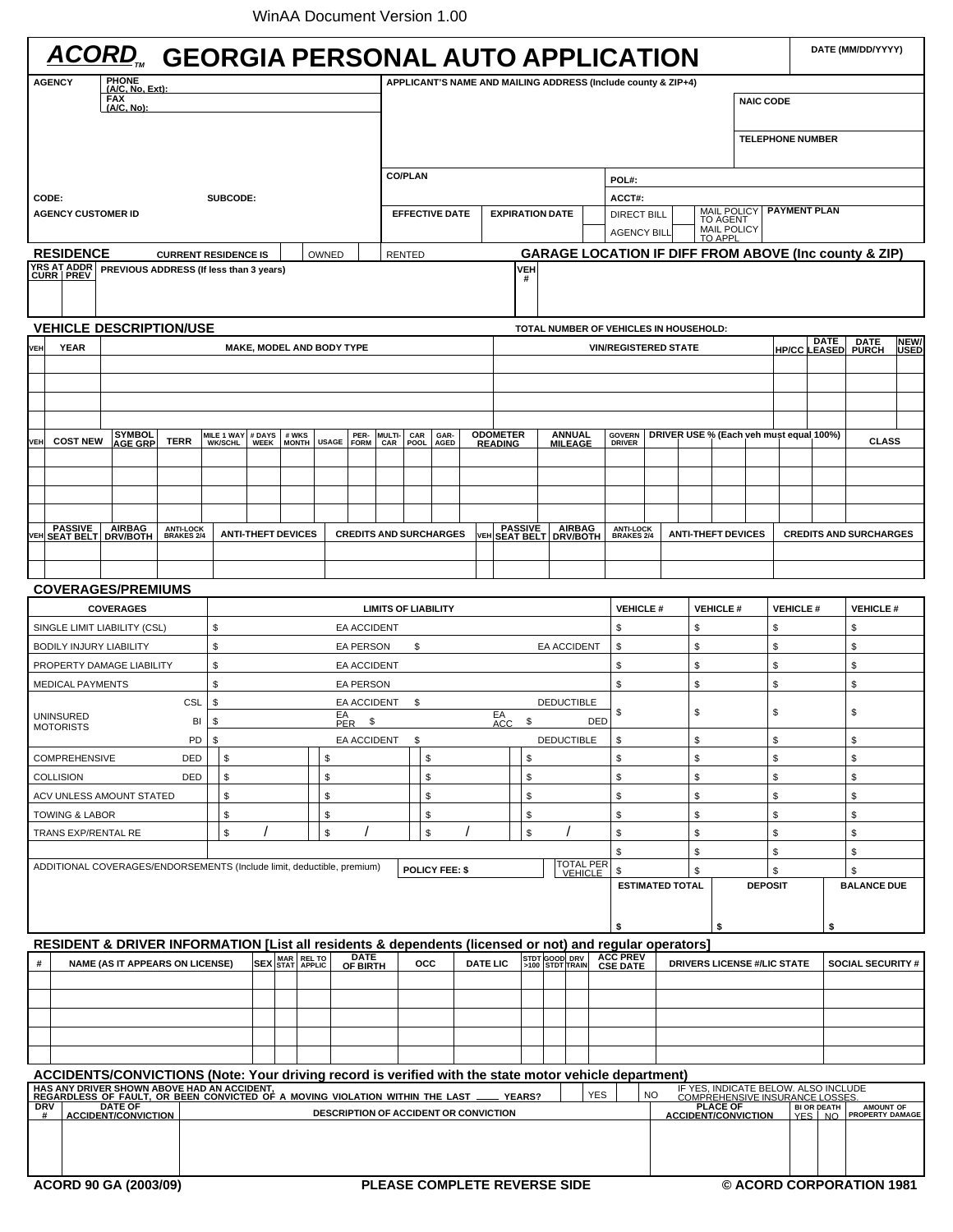| <b>ACORD, GEORGIA PERSONAL AUTO APPLICATION</b>                                                                                                                                                              |                                                                                                         |            |                    |                                        |                                     |                                  |                                                                                   |            |              |                         |                       |                              |                               |                 |                                                               |                                    | DATE (MM/DD/YYYY)                |           |                                 |                                               |                                         |                         |                |                 |                                                      |                               |             |
|--------------------------------------------------------------------------------------------------------------------------------------------------------------------------------------------------------------|---------------------------------------------------------------------------------------------------------|------------|--------------------|----------------------------------------|-------------------------------------|----------------------------------|-----------------------------------------------------------------------------------|------------|--------------|-------------------------|-----------------------|------------------------------|-------------------------------|-----------------|---------------------------------------------------------------|------------------------------------|----------------------------------|-----------|---------------------------------|-----------------------------------------------|-----------------------------------------|-------------------------|----------------|-----------------|------------------------------------------------------|-------------------------------|-------------|
| PHONE<br>(A/C, No, Ext):<br><b>AGENCY</b>                                                                                                                                                                    |                                                                                                         |            |                    |                                        |                                     |                                  |                                                                                   |            |              |                         |                       |                              |                               |                 | APPLICANT'S NAME AND MAILING ADDRESS (Include county & ZIP+4) |                                    |                                  |           |                                 |                                               |                                         |                         |                |                 |                                                      |                               |             |
|                                                                                                                                                                                                              |                                                                                                         | <b>FAX</b> | $(A/C, No)$ :      |                                        |                                     |                                  |                                                                                   |            |              |                         |                       | <b>NAIC CODE</b>             |                               |                 |                                                               |                                    |                                  |           |                                 |                                               |                                         |                         |                |                 |                                                      |                               |             |
|                                                                                                                                                                                                              |                                                                                                         |            |                    |                                        |                                     |                                  |                                                                                   |            |              |                         |                       |                              |                               |                 |                                                               |                                    |                                  |           |                                 |                                               |                                         |                         |                |                 |                                                      |                               |             |
|                                                                                                                                                                                                              |                                                                                                         |            |                    |                                        |                                     |                                  |                                                                                   |            |              |                         |                       |                              |                               |                 |                                                               |                                    |                                  |           |                                 |                                               |                                         | <b>TELEPHONE NUMBER</b> |                |                 |                                                      |                               |             |
|                                                                                                                                                                                                              |                                                                                                         |            |                    |                                        |                                     |                                  | <b>CO/PLAN</b><br>POL#:                                                           |            |              |                         |                       |                              |                               |                 |                                                               |                                    |                                  |           |                                 |                                               |                                         |                         |                |                 |                                                      |                               |             |
| CODE:<br>SUBCODE:                                                                                                                                                                                            |                                                                                                         |            |                    |                                        |                                     |                                  |                                                                                   |            |              |                         |                       |                              |                               |                 | ACCT#:                                                        |                                    |                                  |           |                                 |                                               |                                         |                         |                |                 |                                                      |                               |             |
|                                                                                                                                                                                                              | <b>AGENCY CUSTOMER ID</b>                                                                               |            |                    |                                        |                                     |                                  |                                                                                   |            |              |                         |                       |                              | <b>EFFECTIVE DATE</b>         |                 |                                                               | <b>EXPIRATION DATE</b>             |                                  |           |                                 | MAIL POLICY<br>TO AGENT<br><b>DIRECT BILL</b> |                                         |                         |                |                 | <b>PAYMENT PLAN</b>                                  |                               |             |
|                                                                                                                                                                                                              |                                                                                                         |            |                    |                                        |                                     |                                  | <b>AGENCY BILL</b>                                                                |            |              |                         |                       |                              |                               |                 |                                                               |                                    | MAIL POLICY<br>TO APPL           |           |                                 |                                               |                                         |                         |                |                 |                                                      |                               |             |
| <b>RESIDENCE</b><br><b>CURRENT RESIDENCE IS</b><br>OWNED                                                                                                                                                     |                                                                                                         |            |                    |                                        |                                     |                                  | <b>GARAGE LOCATION IF DIFF FROM ABOVE (Inc county &amp; ZIP)</b><br><b>RENTED</b> |            |              |                         |                       |                              |                               |                 |                                                               |                                    |                                  |           |                                 |                                               |                                         |                         |                |                 |                                                      |                               |             |
| <b>YRS AT ADDR<br/>CURR PREV</b><br>PREVIOUS ADDRESS (If less than 3 years)<br>VEH<br>#                                                                                                                      |                                                                                                         |            |                    |                                        |                                     |                                  |                                                                                   |            |              |                         |                       |                              |                               |                 |                                                               |                                    |                                  |           |                                 |                                               |                                         |                         |                |                 |                                                      |                               |             |
| <b>VEHICLE DESCRIPTION/USE</b><br>TOTAL NUMBER OF VEHICLES IN HOUSEHOLD:                                                                                                                                     |                                                                                                         |            |                    |                                        |                                     |                                  |                                                                                   |            |              |                         |                       |                              |                               |                 |                                                               |                                    |                                  |           |                                 |                                               |                                         |                         |                |                 |                                                      |                               |             |
| <b>VEH</b>                                                                                                                                                                                                   | <b>YEAR</b>                                                                                             |            |                    |                                        |                                     | <b>MAKE, MODEL AND BODY TYPE</b> |                                                                                   |            |              |                         |                       |                              |                               |                 |                                                               |                                    |                                  |           | <b>VIN/REGISTERED STATE</b>     |                                               |                                         |                         |                |                 | DATE<br>DATE<br>PURCH<br>NEW/<br><b>HP/CC LEASED</b> |                               |             |
|                                                                                                                                                                                                              |                                                                                                         |            |                    |                                        |                                     |                                  |                                                                                   |            |              |                         |                       |                              |                               |                 |                                                               |                                    |                                  |           |                                 |                                               |                                         |                         |                |                 |                                                      |                               | <b>USED</b> |
|                                                                                                                                                                                                              |                                                                                                         |            |                    |                                        |                                     |                                  |                                                                                   |            |              |                         |                       |                              |                               |                 |                                                               |                                    |                                  |           |                                 |                                               |                                         |                         |                |                 |                                                      |                               |             |
|                                                                                                                                                                                                              |                                                                                                         |            |                    |                                        |                                     |                                  |                                                                                   |            |              |                         |                       |                              |                               |                 |                                                               |                                    |                                  |           |                                 |                                               |                                         |                         |                |                 |                                                      |                               |             |
|                                                                                                                                                                                                              |                                                                                                         |            |                    |                                        |                                     |                                  |                                                                                   |            |              |                         |                       |                              |                               |                 |                                                               |                                    |                                  |           |                                 |                                               |                                         |                         |                |                 |                                                      |                               |             |
| <b>VEH</b>                                                                                                                                                                                                   | <b>COST NEW</b>                                                                                         |            | SYMBOL<br>AGE GRP  | <b>TERR</b>                            | <b>MILE 1 WAY</b><br><b>WK/SCHL</b> | # DAYS<br><b>WEEK</b>            | # WKS<br>MONTH                                                                    |            | <b>USAGE</b> | PER- MULTI-<br>FORM CAR | CAR                   | CAR<br>POOL                  | GAR-<br><b>AGED</b>           |                 | <b>ODOMETER</b><br>READING                                    |                                    | <b>ANNUAL</b><br><b>MILEAGE</b>  |           | <b>GOVERN</b><br><b>DRIVER</b>  |                                               | DRIVER USE % (Each veh must equal 100%) |                         |                |                 |                                                      | <b>CLASS</b>                  |             |
|                                                                                                                                                                                                              |                                                                                                         |            |                    |                                        |                                     |                                  |                                                                                   |            |              |                         |                       |                              |                               |                 |                                                               |                                    |                                  |           |                                 |                                               |                                         |                         |                |                 |                                                      |                               |             |
|                                                                                                                                                                                                              |                                                                                                         |            |                    |                                        |                                     |                                  |                                                                                   |            |              |                         |                       |                              |                               |                 |                                                               |                                    |                                  |           |                                 |                                               |                                         |                         |                |                 |                                                      |                               |             |
|                                                                                                                                                                                                              |                                                                                                         |            |                    |                                        |                                     |                                  |                                                                                   |            |              |                         |                       |                              |                               |                 |                                                               |                                    |                                  |           |                                 |                                               |                                         |                         |                |                 |                                                      |                               |             |
|                                                                                                                                                                                                              |                                                                                                         |            |                    |                                        |                                     |                                  |                                                                                   |            |              |                         |                       |                              |                               |                 |                                                               |                                    |                                  |           |                                 |                                               |                                         |                         |                |                 |                                                      |                               |             |
|                                                                                                                                                                                                              | <b>PASSIVE</b><br>VEH SEAT BELT                                                                         |            | AIRBAG<br>DRV/BOTH | <b>ANTI-LOCK<br/>BRAKES 2/4</b>        |                                     | <b>ANTI-THEFT DEVICES</b>        |                                                                                   |            |              |                         |                       |                              | <b>CREDITS AND SURCHARGES</b> | VEH             |                                                               | <b>PASSIVE</b><br><b>SEAT BELT</b> | <b>AIRBAG</b><br><b>DRV/BOTH</b> |           | <b>ANTI-LOCK<br/>BRAKES 2/4</b> |                                               | <b>ANTI-THEFT DEVICES</b>               |                         |                |                 |                                                      | <b>CREDITS AND SURCHARGES</b> |             |
|                                                                                                                                                                                                              |                                                                                                         |            |                    |                                        |                                     |                                  |                                                                                   |            |              |                         |                       |                              |                               |                 |                                                               |                                    |                                  |           |                                 |                                               |                                         |                         |                |                 |                                                      |                               |             |
|                                                                                                                                                                                                              |                                                                                                         |            |                    |                                        |                                     |                                  |                                                                                   |            |              |                         |                       |                              |                               |                 |                                                               |                                    |                                  |           |                                 |                                               |                                         |                         |                |                 |                                                      |                               |             |
|                                                                                                                                                                                                              | <b>COVERAGES/PREMIUMS</b>                                                                               |            |                    |                                        |                                     |                                  |                                                                                   |            |              |                         |                       |                              |                               |                 |                                                               |                                    |                                  |           |                                 |                                               |                                         |                         |                |                 |                                                      |                               |             |
|                                                                                                                                                                                                              |                                                                                                         |            | <b>COVERAGES</b>   |                                        |                                     |                                  |                                                                                   |            |              |                         |                       | <b>LIMITS OF LIABILITY</b>   |                               |                 |                                                               |                                    |                                  |           |                                 | <b>VEHICLE#</b><br><b>VEHICLE#</b>            |                                         |                         |                | <b>VEHICLE#</b> |                                                      | <b>VEHICLE#</b>               |             |
|                                                                                                                                                                                                              | SINGLE LIMIT LIABILITY (CSL)                                                                            |            |                    |                                        | \$                                  |                                  |                                                                                   |            |              | <b>EA ACCIDENT</b>      |                       |                              |                               |                 |                                                               |                                    |                                  | \$        | \$                              |                                               |                                         | \$                      |                |                 | \$                                                   |                               |             |
|                                                                                                                                                                                                              | <b>BODILY INJURY LIABILITY</b>                                                                          |            |                    |                                        | \$                                  |                                  |                                                                                   |            |              | EA PERSON               |                       | \$<br><b>EA ACCIDENT</b>     |                               |                 |                                                               |                                    |                                  |           | \$                              | \$                                            |                                         |                         |                | \$              |                                                      | \$                            |             |
|                                                                                                                                                                                                              | PROPERTY DAMAGE LIABILITY                                                                               |            |                    |                                        | \$                                  |                                  |                                                                                   |            |              | <b>EA ACCIDENT</b>      |                       |                              |                               |                 |                                                               |                                    | \$                               | \$        |                                 |                                               |                                         | \$                      |                | \$              |                                                      |                               |             |
|                                                                                                                                                                                                              | <b>MEDICAL PAYMENTS</b>                                                                                 |            |                    |                                        | \$                                  |                                  |                                                                                   |            |              | <b>EA PERSON</b>        |                       |                              |                               |                 |                                                               |                                    |                                  | \$        | \$                              |                                               |                                         |                         | \$             |                 | \$                                                   |                               |             |
|                                                                                                                                                                                                              |                                                                                                         |            |                    | CSL                                    | \$                                  |                                  |                                                                                   |            |              | EA ACCIDENT             |                       | \$                           |                               |                 |                                                               |                                    | <b>DEDUCTIBLE</b>                |           | \$                              |                                               | \$                                      |                         |                | \$              |                                                      | \$                            |             |
|                                                                                                                                                                                                              | <b>UNINSURED</b><br><b>MOTORISTS</b>                                                                    |            |                    | BI                                     | \$                                  |                                  |                                                                                   |            | EA<br>PER    | \$                      |                       |                              |                               |                 | EA<br>ACC                                                     | \$                                 |                                  | DED       |                                 |                                               |                                         |                         |                |                 |                                                      |                               |             |
|                                                                                                                                                                                                              |                                                                                                         |            |                    | PD                                     | \$                                  |                                  |                                                                                   |            |              | EA ACCIDENT             |                       | \$<br><b>DEDUCTIBLE</b>      |                               |                 |                                                               |                                    |                                  | \$        | \$                              |                                               |                                         |                         |                |                 | \$                                                   |                               |             |
|                                                                                                                                                                                                              | <b>COMPREHENSIVE</b>                                                                                    |            |                    | DED                                    | \$                                  |                                  |                                                                                   |            | \$           |                         |                       | \$                           |                               |                 |                                                               |                                    |                                  |           | \$                              |                                               | \$                                      |                         |                | \$              |                                                      | \$                            |             |
|                                                                                                                                                                                                              | <b>COLLISION</b>                                                                                        |            |                    | DED                                    | \$                                  | \$                               |                                                                                   |            |              |                         | \$                    |                              |                               |                 | \$                                                            |                                    |                                  | \$        |                                 | \$                                            |                                         |                         | \$             |                 | \$                                                   |                               |             |
|                                                                                                                                                                                                              | ACV UNLESS AMOUNT STATED                                                                                |            |                    |                                        | \$<br>\$                            |                                  |                                                                                   |            |              | \$                      |                       |                              |                               | \$              |                                                               |                                    | \$<br>\$                         |           |                                 |                                               | \$                                      |                         | \$             |                 |                                                      |                               |             |
|                                                                                                                                                                                                              | TOWING & LABOR                                                                                          |            |                    |                                        | \$                                  |                                  |                                                                                   |            | \$           |                         |                       |                              | \$                            |                 |                                                               | \$                                 |                                  |           | \$                              |                                               | \$                                      |                         |                | \$              |                                                      | \$                            |             |
|                                                                                                                                                                                                              | TRANS EXP/RENTAL RE                                                                                     |            |                    |                                        | \$                                  |                                  |                                                                                   |            | \$           |                         |                       |                              | \$                            |                 |                                                               | \$                                 |                                  |           | \$                              |                                               | \$                                      |                         |                | \$              |                                                      | \$                            |             |
|                                                                                                                                                                                                              | ADDITIONAL COVERAGES/ENDORSEMENTS (Include limit, deductible, premium)                                  |            |                    |                                        |                                     |                                  |                                                                                   |            |              |                         |                       |                              |                               |                 |                                                               |                                    |                                  |           | \$                              |                                               | \$                                      |                         |                | \$              |                                                      | \$                            |             |
|                                                                                                                                                                                                              |                                                                                                         |            |                    |                                        |                                     |                                  |                                                                                   |            |              |                         |                       |                              | <b>POLICY FEE: \$</b>         |                 |                                                               |                                    |                                  | TOTAL PER | \$                              |                                               | \$<br><b>ESTIMATED TOTAL</b>            |                         | <b>DEPOSIT</b> | \$              |                                                      | \$<br><b>BALANCE DUE</b>      |             |
|                                                                                                                                                                                                              |                                                                                                         |            |                    |                                        |                                     |                                  |                                                                                   |            |              |                         |                       |                              |                               |                 |                                                               |                                    |                                  |           |                                 |                                               |                                         |                         |                |                 |                                                      |                               |             |
|                                                                                                                                                                                                              |                                                                                                         |            |                    |                                        |                                     |                                  |                                                                                   |            |              |                         |                       |                              |                               |                 |                                                               |                                    |                                  |           | \$                              |                                               |                                         |                         |                |                 | \$                                                   |                               |             |
|                                                                                                                                                                                                              | RESIDENT & DRIVER INFORMATION [List all residents & dependents (licensed or not) and regular operators] |            |                    |                                        |                                     |                                  |                                                                                   |            |              |                         |                       |                              |                               |                 |                                                               |                                    |                                  |           |                                 |                                               |                                         | \$                      |                |                 |                                                      |                               |             |
| #                                                                                                                                                                                                            |                                                                                                         |            |                    | <b>NAME (AS IT APPEARS ON LICENSE)</b> |                                     |                                  |                                                                                   | MAR REL TO |              | <b>DATE</b>             |                       |                              | occ                           | <b>DATE LIC</b> |                                                               |                                    | STDT GOOD DRV                    |           | <b>ACC PREV</b>                 |                                               | <b>DRIVERS LICENSE #/LIC STATE</b>      |                         |                |                 |                                                      | <b>SOCIAL SECURITY #</b>      |             |
|                                                                                                                                                                                                              |                                                                                                         |            |                    |                                        |                                     |                                  | SEX STAT APPLIC                                                                   |            |              | OF BIRTH                |                       |                              |                               |                 |                                                               |                                    |                                  |           | <b>CSE DATE</b>                 |                                               |                                         |                         |                |                 |                                                      |                               |             |
|                                                                                                                                                                                                              |                                                                                                         |            |                    |                                        |                                     |                                  |                                                                                   |            |              |                         |                       |                              |                               |                 |                                                               |                                    |                                  |           |                                 |                                               |                                         |                         |                |                 |                                                      |                               |             |
|                                                                                                                                                                                                              |                                                                                                         |            |                    |                                        |                                     |                                  |                                                                                   |            |              |                         |                       |                              |                               |                 |                                                               |                                    |                                  |           |                                 |                                               |                                         |                         |                |                 |                                                      |                               |             |
|                                                                                                                                                                                                              |                                                                                                         |            |                    |                                        |                                     |                                  |                                                                                   |            |              |                         |                       |                              |                               |                 |                                                               |                                    |                                  |           |                                 |                                               |                                         |                         |                |                 |                                                      |                               |             |
|                                                                                                                                                                                                              |                                                                                                         |            |                    |                                        |                                     |                                  |                                                                                   |            |              |                         |                       |                              |                               |                 |                                                               |                                    |                                  |           |                                 |                                               |                                         |                         |                |                 |                                                      |                               |             |
|                                                                                                                                                                                                              | ACCIDENTS/CONVICTIONS (Note: Your driving record is verified with the state motor vehicle department)   |            |                    |                                        |                                     |                                  |                                                                                   |            |              |                         |                       |                              |                               |                 |                                                               |                                    |                                  |           |                                 |                                               |                                         |                         |                |                 |                                                      |                               |             |
| HAS ANY DRIVER SHOWN ABOVE HAD AN ACCIDENT,<br>REGARDLESS OF FAULT, OR BEEN CONVICTED OF A MOVING VIOLATION WITHIN THE LAST _<br>IF YES, INDICATE BELOW. ALSO INCLUDE<br><b>YES</b><br><b>NO</b>             |                                                                                                         |            |                    |                                        |                                     |                                  |                                                                                   |            |              |                         |                       |                              |                               |                 |                                                               |                                    |                                  |           |                                 |                                               |                                         |                         |                |                 |                                                      |                               |             |
| <b>YEARS?</b><br><b>COMPREHENSIVE INSURANCE LOSSES</b><br>PLACE OF<br>ACCIDENT/CONVICTION<br><b>DRV</b><br><b>DATE OF</b><br><b>DESCRIPTION OF ACCIDENT OR CONVICTION</b><br><b>ACCIDENT/CONVICTION</b><br># |                                                                                                         |            |                    |                                        |                                     |                                  |                                                                                   |            |              |                         | BI OR DEATH<br>YES NO | AMOUNT OF<br>PROPERTY DAMAGE |                               |                 |                                                               |                                    |                                  |           |                                 |                                               |                                         |                         |                |                 |                                                      |                               |             |
|                                                                                                                                                                                                              |                                                                                                         |            |                    |                                        |                                     |                                  |                                                                                   |            |              |                         |                       |                              |                               |                 |                                                               |                                    |                                  |           |                                 |                                               |                                         |                         |                |                 |                                                      |                               |             |
|                                                                                                                                                                                                              |                                                                                                         |            |                    |                                        |                                     |                                  |                                                                                   |            |              |                         |                       |                              |                               |                 |                                                               |                                    |                                  |           |                                 |                                               |                                         |                         |                |                 |                                                      |                               |             |
|                                                                                                                                                                                                              |                                                                                                         |            |                    |                                        |                                     |                                  |                                                                                   |            |              |                         |                       |                              |                               |                 |                                                               |                                    |                                  |           |                                 |                                               |                                         |                         |                |                 |                                                      |                               |             |